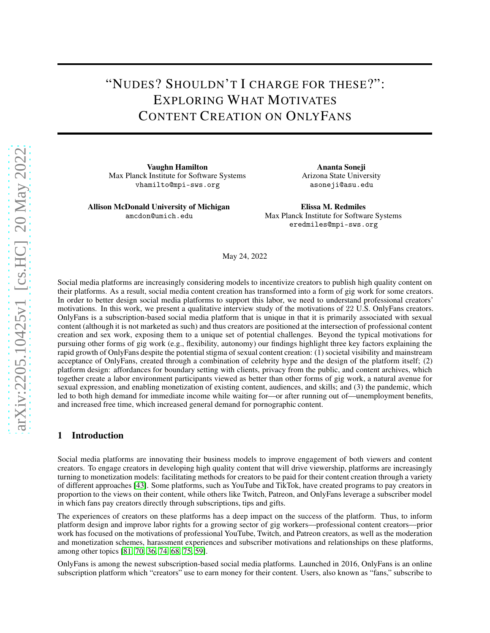# "NUDES? SHOULDN'T I CHARGE FOR THESE?": EXPLORING WHAT MOTIVATES CONTENT CREATION ON ONLYFANS

Vaughn Hamilton Max Planck Institute for Software Systems vhamilto@mpi-sws.org

Allison McDonald University of Michigan amcdon@umich.edu

Ananta Soneji Arizona State University asoneji@asu.edu

Elissa M. Redmiles Max Planck Institute for Software Systems eredmiles@mpi-sws.org

May 24, 2022

Social media platforms are increasingly considering models to incentivize creators to publish high quality content on their platforms. As a result, social media content creation has transformed into a form of gig work for some creators. In order to better design social media platforms to support this labor, we need to understand professional creators' motivations. In this work, we present a qualitative interview study of the motivations of 22 U.S. OnlyFans creators. OnlyFans is a subscription-based social media platform that is unique in that it is primarily associated with sexual content (although it is not marketed as such) and thus creators are positioned at the intersection of professional content creation and sex work, exposing them to a unique set of potential challenges. Beyond the typical motivations for pursuing other forms of gig work (e.g., flexibility, autonomy) our findings highlight three key factors explaining the rapid growth of OnlyFans despite the potential stigma of sexual content creation: (1) societal visibility and mainstream acceptance of OnlyFans, created through a combination of celebrity hype and the design of the platform itself; (2) platform design: affordances for boundary setting with clients, privacy from the public, and content archives, which together create a labor environment participants viewed as better than other forms of gig work, a natural avenue for sexual expression, and enabling monetization of existing content, audiences, and skills; and (3) the pandemic, which led to both high demand for immediate income while waiting for—or after running out of—unemployment benefits, and increased free time, which increased general demand for pornographic content.

## 1 Introduction

Social media platforms are innovating their business models to improve engagement of both viewers and content creators. To engage creators in developing high quality content that will drive viewership, platforms are increasingly turning to monetization models: facilitating methods for creators to be paid for their content creation through a variety of different approaches [\[43\]](#page-11-0). Some platforms, such as YouTube and TikTok, have created programs to pay creators in proportion to the views on their content, while others like Twitch, Patreon, and OnlyFans leverage a subscriber model in which fans pay creators directly through subscriptions, tips and gifts.

The experiences of creators on these platforms has a deep impact on the success of the platform. Thus, to inform platform design and improve labor rights for a growing sector of gig workers—professional content creators—prior work has focused on the motivations of professional YouTube, Twitch, and Patreon creators, as well as the moderation and monetization schemes, harassment experiences and subscriber motivations and relationships on these platforms, among other topics [\[81,](#page-13-0) [70,](#page-13-1) [36,](#page-11-1) [74,](#page-13-2) [68,](#page-12-0) [75,](#page-13-3) [59\]](#page-12-1).

OnlyFans is among the newest subscription-based social media platforms. Launched in 2016, OnlyFans is an online subscription platform which "creators" use to earn money for their content. Users, also known as "fans," subscribe to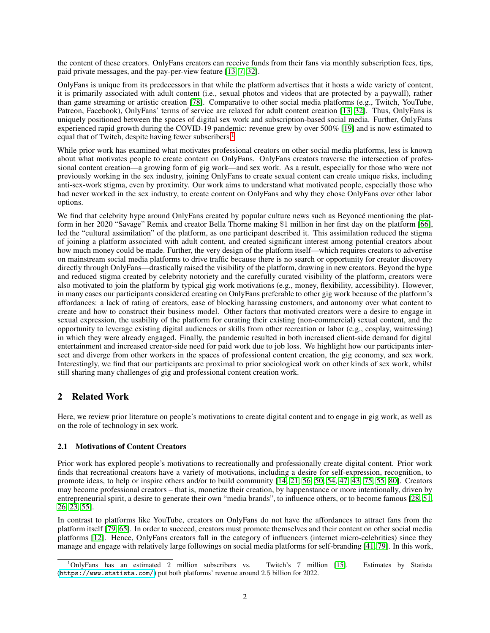the content of these creators. OnlyFans creators can receive funds from their fans via monthly subscription fees, tips, paid private messages, and the pay-per-view feature [\[13,](#page-10-0) [7,](#page-10-1) [32\]](#page-11-2).

OnlyFans is unique from its predecessors in that while the platform advertises that it hosts a wide variety of content, it is primarily associated with adult content (i.e., sexual photos and videos that are protected by a paywall), rather than game streaming or artistic creation [\[78\]](#page-13-4). Comparative to other social media platforms (e.g., Twitch, YouTube, Patreon, Facebook), OnlyFans' terms of service are relaxed for adult content creation [\[13,](#page-10-0) [32\]](#page-11-2). Thus, OnlyFans is uniquely positioned between the spaces of digital sex work and subscription-based social media. Further, OnlyFans experienced rapid growth during the COVID-19 pandemic: revenue grew by over 500% [\[19\]](#page-10-2) and is now estimated to equal that of Twitch, despite having fewer subscribers.<sup>[1](#page-1-0)</sup>

While prior work has examined what motivates professional creators on other social media platforms, less is known about what motivates people to create content on OnlyFans. OnlyFans creators traverse the intersection of professional content creation—a growing form of gig work—and sex work. As a result, especially for those who were not previously working in the sex industry, joining OnlyFans to create sexual content can create unique risks, including anti-sex-work stigma, even by proximity. Our work aims to understand what motivated people, especially those who had never worked in the sex industry, to create content on OnlyFans and why they chose OnlyFans over other labor options.

We find that celebrity hype around OnlyFans created by popular culture news such as Beyoncé mentioning the platform in her 2020 "Savage" Remix and creator Bella Thorne making \$1 million in her first day on the platform [\[66\]](#page-12-2), led the "cultural assimilation" of the platform, as one participant described it. This assimilation reduced the stigma of joining a platform associated with adult content, and created significant interest among potential creators about how much money could be made. Further, the very design of the platform itself—which requires creators to advertise on mainstream social media platforms to drive traffic because there is no search or opportunity for creator discovery directly through OnlyFans—drastically raised the visibility of the platform, drawing in new creators. Beyond the hype and reduced stigma created by celebrity notoriety and the carefully curated visibility of the platform, creators were also motivated to join the platform by typical gig work motivations (e.g., money, flexibility, accessibility). However, in many cases our participants considered creating on OnlyFans preferable to other gig work because of the platform's affordances: a lack of rating of creators, ease of blocking harassing customers, and autonomy over what content to create and how to construct their business model. Other factors that motivated creators were a desire to engage in sexual expression, the usability of the platform for curating their existing (non-commercial) sexual content, and the opportunity to leverage existing digital audiences or skills from other recreation or labor (e.g., cosplay, waitressing) in which they were already engaged. Finally, the pandemic resulted in both increased client-side demand for digital entertainment and increased creator-side need for paid work due to job loss. We highlight how our participants intersect and diverge from other workers in the spaces of professional content creation, the gig economy, and sex work. Interestingly, we find that our participants are proximal to prior sociological work on other kinds of sex work, whilst still sharing many challenges of gig and professional content creation work.

## 2 Related Work

Here, we review prior literature on people's motivations to create digital content and to engage in gig work, as well as on the role of technology in sex work.

#### 2.1 Motivations of Content Creators

Prior work has explored people's motivations to recreationally and professionally create digital content. Prior work finds that recreational creators have a variety of motivations, including a desire for self-expression, recognition, to promote ideas, to help or inspire others and/or to build community [\[14,](#page-10-3) [21,](#page-10-4) [56,](#page-12-3) [50,](#page-12-4) [54,](#page-12-5) [47,](#page-12-6) [43,](#page-11-0) [75,](#page-13-3) [55,](#page-12-7) [80\]](#page-13-5). Creators may become professional creators – that is, monetize their creation, by happenstance or more intentionally, driven by entrepreneurial spirit, a desire to generate their own "media brands", to influence others, or to become famous [\[28,](#page-11-3) [51,](#page-12-8) [26,](#page-11-4) [23,](#page-11-5) [55\]](#page-12-7).

In contrast to platforms like YouTube, creators on OnlyFans do not have the affordances to attract fans from the platform itself [\[79,](#page-13-6) [65\]](#page-12-9). In order to succeed, creators must promote themselves and their content on other social media platforms [\[12\]](#page-10-5). Hence, OnlyFans creators fall in the category of influencers (internet micro-celebrities) since they manage and engage with relatively large followings on social media platforms for self-branding [\[41,](#page-11-6) [79\]](#page-13-6). In this work,

<span id="page-1-0"></span><sup>&</sup>lt;sup>1</sup>OnlyFans has an estimated 2 million subscribers vs. Twitch's 7 million [\[15\]](#page-10-6). Estimates by Statista (<https://www.statista.com/>) put both platforms' revenue around 2.5 billion for 2022.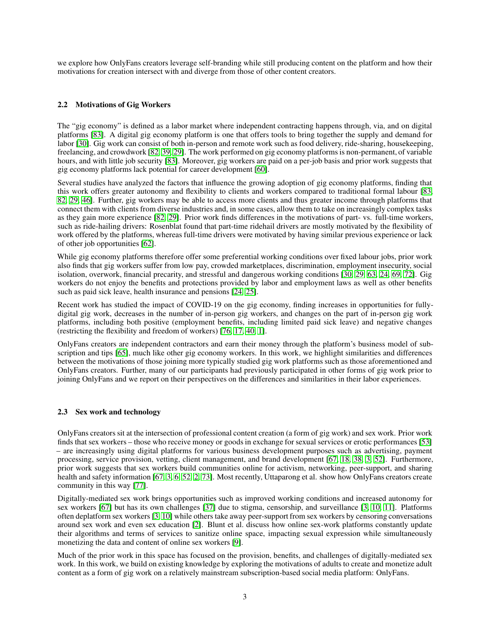we explore how OnlyFans creators leverage self-branding while still producing content on the platform and how their motivations for creation intersect with and diverge from those of other content creators.

#### 2.2 Motivations of Gig Workers

The "gig economy" is defined as a labor market where independent contracting happens through, via, and on digital platforms [\[83\]](#page-13-7). A digital gig economy platform is one that offers tools to bring together the supply and demand for labor [\[30\]](#page-11-7). Gig work can consist of both in-person and remote work such as food delivery, ride-sharing, housekeeping, freelancing, and crowdwork [\[82,](#page-13-8) [39,](#page-11-8) [29\]](#page-11-9). The work performed on gig economy platforms is non-permanent, of variable hours, and with little job security [\[83\]](#page-13-7). Moreover, gig workers are paid on a per-job basis and prior work suggests that gig economy platforms lack potential for career development [\[60\]](#page-12-10).

Several studies have analyzed the factors that influence the growing adoption of gig economy platforms, finding that this work offers greater autonomy and flexibility to clients and workers compared to traditional formal labour [\[83,](#page-13-7) [82,](#page-13-8) [29,](#page-11-9) [46\]](#page-12-11). Further, gig workers may be able to access more clients and thus greater income through platforms that connect them with clients from diverse industries and, in some cases, allow them to take on increasingly complex tasks as they gain more experience [\[82,](#page-13-8) [29\]](#page-11-9). Prior work finds differences in the motivations of part- vs. full-time workers, such as ride-hailing drivers: Rosenblat found that part-time ridehail drivers are mostly motivated by the flexibility of work offered by the platforms, whereas full-time drivers were motivated by having similar previous experience or lack of other job opportunities [\[62\]](#page-12-12).

While gig economy platforms therefore offer some preferential working conditions over fixed labour jobs, prior work also finds that gig workers suffer from low pay, crowded marketplaces, discrimination, employment insecurity, social isolation, overwork, financial precarity, and stressful and dangerous working conditions [\[30,](#page-11-7) [29,](#page-11-9) [63,](#page-12-13) [24,](#page-11-10) [69,](#page-13-9) [72\]](#page-13-10). Gig workers do not enjoy the benefits and protections provided by labor and employment laws as well as other benefits such as paid sick leave, health insurance and pensions [\[24,](#page-11-10) [25\]](#page-11-11).

Recent work has studied the impact of COVID-19 on the gig economy, finding increases in opportunities for fullydigital gig work, decreases in the number of in-person gig workers, and changes on the part of in-person gig work platforms, including both positive (employment benefits, including limited paid sick leave) and negative changes (restricting the flexibility and freedom of workers) [\[76,](#page-13-11) [17,](#page-10-7) [40,](#page-11-12) [1\]](#page-10-8).

OnlyFans creators are independent contractors and earn their money through the platform's business model of subscription and tips [\[65\]](#page-12-9), much like other gig economy workers. In this work, we highlight similarities and differences between the motivations of those joining more typically studied gig work platforms such as those aforementioned and OnlyFans creators. Further, many of our participants had previously participated in other forms of gig work prior to joining OnlyFans and we report on their perspectives on the differences and similarities in their labor experiences.

#### 2.3 Sex work and technology

OnlyFans creators sit at the intersection of professional content creation (a form of gig work) and sex work. Prior work finds that sex workers – those who receive money or goods in exchange for sexual services or erotic performances [\[53\]](#page-12-14) – are increasingly using digital platforms for various business development purposes such as advertising, payment processing, service provision, vetting, client management, and brand development [\[67,](#page-12-15) [18,](#page-10-9) [38,](#page-11-13) [3,](#page-10-10) [52\]](#page-12-16). Furthermore, prior work suggests that sex workers build communities online for activism, networking, peer-support, and sharing health and safety information [\[67,](#page-12-15) [3,](#page-10-10) [6,](#page-10-11) [52,](#page-12-16) [2,](#page-10-12) [73\]](#page-13-12). Most recently, Uttaparong et al. show how OnlyFans creators create community in this way [\[77\]](#page-13-13).

Digitally-mediated sex work brings opportunities such as improved working conditions and increased autonomy for sex workers [\[67\]](#page-12-15) but has its own challenges [\[37\]](#page-11-14) due to stigma, censorship, and surveillance [\[3,](#page-10-10) [10,](#page-10-13) [11\]](#page-10-14). Platforms often deplatform sex workers [\[3,](#page-10-10) [10\]](#page-10-13) while others take away peer-support from sex workers by censoring conversations around sex work and even sex education [\[2\]](#page-10-12). Blunt et al. discuss how online sex-work platforms constantly update their algorithms and terms of services to sanitize online space, impacting sexual expression while simultaneously monetizing the data and content of online sex workers [\[9\]](#page-10-15).

Much of the prior work in this space has focused on the provision, benefits, and challenges of digitally-mediated sex work. In this work, we build on existing knowledge by exploring the motivations of adults to create and monetize adult content as a form of gig work on a relatively mainstream subscription-based social media platform: OnlyFans.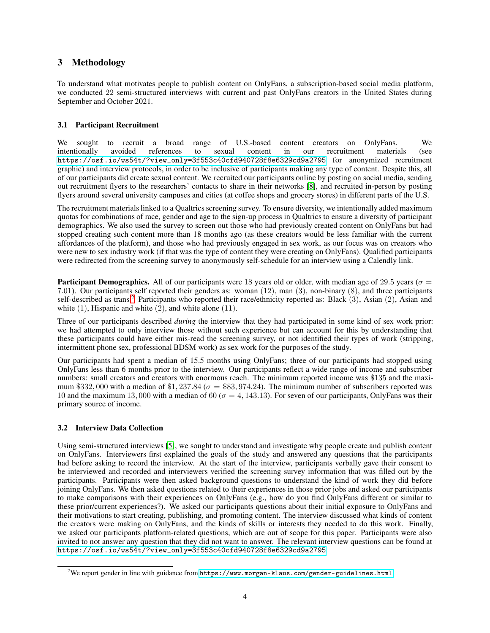## 3 Methodology

To understand what motivates people to publish content on OnlyFans, a subscription-based social media platform, we conducted 22 semi-structured interviews with current and past OnlyFans creators in the United States during September and October 2021.

#### 3.1 Participant Recruitment

We sought to recruit a broad range of U.S.-based content creators on OnlyFans. We intentionally avoided references to sexual content in our recruitment materials (see [https://osf.io/ws54t/?view\\_only=3f553c40cfd940728f8e6329cd9a2795](https://osf.io/ws54t/?view_only=3f553c40cfd940728f8e6329cd9a2795) for anonymized recruitment graphic) and interview protocols, in order to be inclusive of participants making any type of content. Despite this, all of our participants did create sexual content. We recruited our participants online by posting on social media, sending out recruitment flyers to the researchers' contacts to share in their networks [\[8\]](#page-10-16), and recruited in-person by posting flyers around several university campuses and cities (at coffee shops and grocery stores) in different parts of the U.S.

The recruitment materials linked to a Qualtrics screening survey. To ensure diversity, we intentionally added maximum quotas for combinations of race, gender and age to the sign-up process in Qualtrics to ensure a diversity of participant demographics. We also used the survey to screen out those who had previously created content on OnlyFans but had stopped creating such content more than 18 months ago (as these creators would be less familiar with the current affordances of the platform), and those who had previously engaged in sex work, as our focus was on creators who were new to sex industry work (if that was the type of content they were creating on OnlyFans). Qualified participants were redirected from the screening survey to anonymously self-schedule for an interview using a Calendly link.

**Participant Demographics.** All of our participants were 18 years old or older, with median age of 29.5 years ( $\sigma$  = 7.01). Our participants self reported their genders as: woman (12), man (3), non-binary (8), and three participants self-described as trans.<sup>[2](#page-3-0)</sup> Participants who reported their race/ethnicity reported as: Black (3), Asian (2), Asian and white  $(1)$ , Hispanic and white  $(2)$ , and white alone  $(11)$ .

Three of our participants described *during* the interview that they had participated in some kind of sex work prior: we had attempted to only interview those without such experience but can account for this by understanding that these participants could have either mis-read the screening survey, or not identified their types of work (stripping, intermittent phone sex, professional BDSM work) as sex work for the purposes of the study.

Our participants had spent a median of 15.5 months using OnlyFans; three of our participants had stopped using OnlyFans less than 6 months prior to the interview. Our participants reflect a wide range of income and subscriber numbers: small creators and creators with enormous reach. The minimum reported income was \$135 and the maximum \$332, 000 with a median of \$1, 237.84 ( $\sigma =$  \$83, 974.24). The minimum number of subscribers reported was 10 and the maximum 13, 000 with a median of 60 ( $\sigma = 4, 143.13$ ). For seven of our participants, OnlyFans was their primary source of income.

#### 3.2 Interview Data Collection

Using semi-structured interviews [\[5\]](#page-10-17), we sought to understand and investigate why people create and publish content on OnlyFans. Interviewers first explained the goals of the study and answered any questions that the participants had before asking to record the interview. At the start of the interview, participants verbally gave their consent to be interviewed and recorded and interviewers verified the screening survey information that was filled out by the participants. Participants were then asked background questions to understand the kind of work they did before joining OnlyFans. We then asked questions related to their experiences in those prior jobs and asked our participants to make comparisons with their experiences on OnlyFans (e.g., how do you find OnlyFans different or similar to these prior/current experiences?). We asked our participants questions about their initial exposure to OnlyFans and their motivations to start creating, publishing, and promoting content. The interview discussed what kinds of content the creators were making on OnlyFans, and the kinds of skills or interests they needed to do this work. Finally, we asked our participants platform-related questions, which are out of scope for this paper. Participants were also invited to not answer any question that they did not want to answer. The relevant interview questions can be found at [https://osf.io/ws54t/?view\\_only=3f553c40cfd940728f8e6329cd9a2795](https://osf.io/ws54t/?view_only=3f553c40cfd940728f8e6329cd9a2795).

<span id="page-3-0"></span> $^{2}$ We report gender in line with guidance from <code><https://www.morgan-klaus.com/gender-guidelines.html>.</code>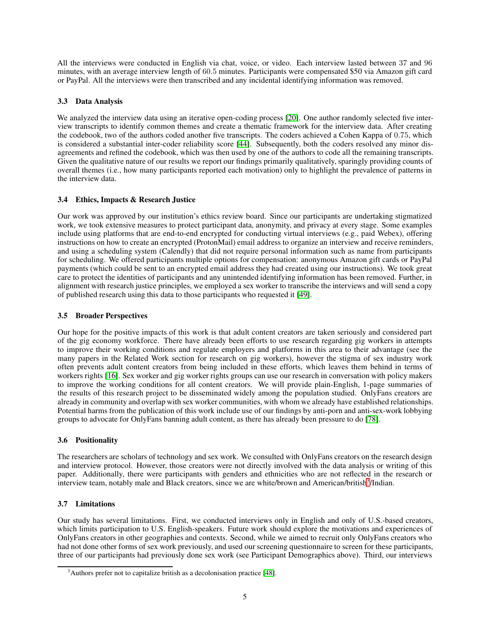All the interviews were conducted in English via chat, voice, or video. Each interview lasted between 37 and 96 minutes, with an average interview length of 60.5 minutes. Participants were compensated \$50 via Amazon gift card or PayPal. All the interviews were then transcribed and any incidental identifying information was removed.

#### 3.3 Data Analysis

We analyzed the interview data using an iterative open-coding process [\[20\]](#page-10-18). One author randomly selected five interview transcripts to identify common themes and create a thematic framework for the interview data. After creating the codebook, two of the authors coded another five transcripts. The coders achieved a Cohen Kappa of 0.75, which is considered a substantial inter-coder reliability score [\[44\]](#page-11-15). Subsequently, both the coders resolved any minor disagreements and refined the codebook, which was then used by one of the authors to code all the remaining transcripts. Given the qualitative nature of our results we report our findings primarily qualitatively, sparingly providing counts of overall themes (i.e., how many participants reported each motivation) only to highlight the prevalence of patterns in the interview data.

### 3.4 Ethics, Impacts & Research Justice

Our work was approved by our institution's ethics review board. Since our participants are undertaking stigmatized work, we took extensive measures to protect participant data, anonymity, and privacy at every stage. Some examples include using platforms that are end-to-end encrypted for conducting virtual interviews (e.g., paid Webex), offering instructions on how to create an encrypted (ProtonMail) email address to organize an interview and receive reminders, and using a scheduling system (Calendly) that did not require personal information such as name from participants for scheduling. We offered participants multiple options for compensation: anonymous Amazon gift cards or PayPal payments (which could be sent to an encrypted email address they had created using our instructions). We took great care to protect the identities of participants and any unintended identifying information has been removed. Further, in alignment with research justice principles, we employed a sex worker to transcribe the interviews and will send a copy of published research using this data to those participants who requested it [\[49\]](#page-12-17).

#### 3.5 Broader Perspectives

Our hope for the positive impacts of this work is that adult content creators are taken seriously and considered part of the gig economy workforce. There have already been efforts to use research regarding gig workers in attempts to improve their working conditions and regulate employers and platforms in this area to their advantage (see the many papers in the Related Work section for research on gig workers), however the stigma of sex industry work often prevents adult content creators from being included in these efforts, which leaves them behind in terms of workers rights [\[16\]](#page-10-19). Sex worker and gig worker rights groups can use our research in conversation with policy makers to improve the working conditions for all content creators. We will provide plain-English, 1-page summaries of the results of this research project to be disseminated widely among the population studied. OnlyFans creators are already in community and overlap with sex worker communities, with whom we already have established relationships. Potential harms from the publication of this work include use of our findings by anti-porn and anti-sex-work lobbying groups to advocate for OnlyFans banning adult content, as there has already been pressure to do [\[78\]](#page-13-4).

#### 3.6 Positionality

The researchers are scholars of technology and sex work. We consulted with OnlyFans creators on the research design and interview protocol. However, those creators were not directly involved with the data analysis or writing of this paper. Additionally, there were participants with genders and ethnicities who are not reflected in the research or interview team, notably male and Black creators, since we are white/brown and American/british<sup>[3](#page-4-0)</sup>/Indian.

#### 3.7 Limitations

Our study has several limitations. First, we conducted interviews only in English and only of U.S.-based creators, which limits participation to U.S. English-speakers. Future work should explore the motivations and experiences of OnlyFans creators in other geographies and contexts. Second, while we aimed to recruit only OnlyFans creators who had not done other forms of sex work previously, and used our screening questionnaire to screen for these participants, three of our participants had previously done sex work (see Participant Demographics above). Third, our interviews

<span id="page-4-0"></span> $3$ Authors prefer not to capitalize british as a decolonisation practice [\[48\]](#page-12-18).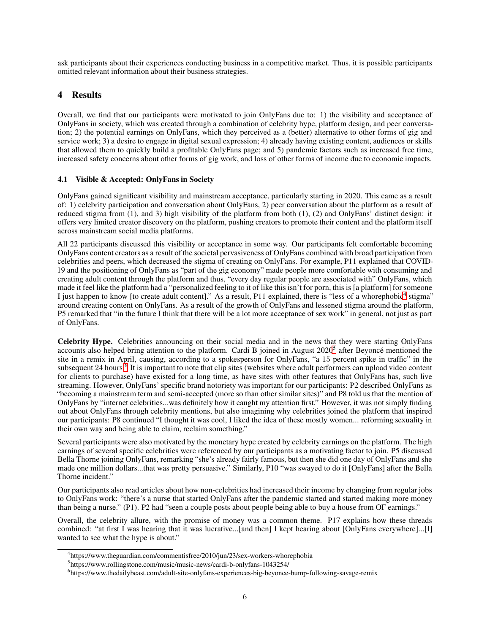ask participants about their experiences conducting business in a competitive market. Thus, it is possible participants omitted relevant information about their business strategies.

## 4 Results

Overall, we find that our participants were motivated to join OnlyFans due to: 1) the visibility and acceptance of OnlyFans in society, which was created through a combination of celebrity hype, platform design, and peer conversation; 2) the potential earnings on OnlyFans, which they perceived as a (better) alternative to other forms of gig and service work; 3) a desire to engage in digital sexual expression; 4) already having existing content, audiences or skills that allowed them to quickly build a profitable OnlyFans page; and 5) pandemic factors such as increased free time, increased safety concerns about other forms of gig work, and loss of other forms of income due to economic impacts.

#### 4.1 Visible & Accepted: OnlyFans in Society

OnlyFans gained significant visibility and mainstream acceptance, particularly starting in 2020. This came as a result of: 1) celebrity participation and conversation about OnlyFans, 2) peer conversation about the platform as a result of reduced stigma from (1), and 3) high visibility of the platform from both (1), (2) and OnlyFans' distinct design: it offers very limited creator discovery on the platform, pushing creators to promote their content and the platform itself across mainstream social media platforms.

All 22 participants discussed this visibility or acceptance in some way. Our participants felt comfortable becoming OnlyFans content creators as a result of the societal pervasiveness of OnlyFans combined with broad participation from celebrities and peers, which decreased the stigma of creating on OnlyFans. For example, P11 explained that COVID-19 and the positioning of OnlyFans as "part of the gig economy" made people more comfortable with consuming and creating adult content through the platform and thus, "every day regular people are associated with" OnlyFans, which made it feel like the platform had a "personalized feeling to it of like this isn't for porn, this is [a platform] for someone I just happen to know [to create adult content]." As a result, P11 explained, there is "less of a whorephobic<sup>[4](#page-5-0)</sup> stigma" around creating content on OnlyFans. As a result of the growth of OnlyFans and lessened stigma around the platform, P5 remarked that "in the future I think that there will be a lot more acceptance of sex work" in general, not just as part of OnlyFans.

Celebrity Hype. Celebrities announcing on their social media and in the news that they were starting OnlyFans accounts also helped bring attention to the platform. Cardi B joined in August 2020<sup>[5](#page-5-1)</sup> after Beyoncé mentioned the site in a remix in April, causing, according to a spokesperson for OnlyFans, "a 15 percent spike in traffic" in the subsequent 24 hours.<sup>[6](#page-5-2)</sup> It is important to note that clip sites (websites where adult performers can upload video content for clients to purchase) have existed for a long time, as have sites with other features that OnlyFans has, such live streaming. However, OnlyFans' specific brand notoriety was important for our participants: P2 described OnlyFans as "becoming a mainstream term and semi-accepted (more so than other similar sites)" and P8 told us that the mention of OnlyFans by "internet celebrities...was definitely how it caught my attention first." However, it was not simply finding out about OnlyFans through celebrity mentions, but also imagining why celebrities joined the platform that inspired our participants: P8 continued "I thought it was cool, I liked the idea of these mostly women... reforming sexuality in their own way and being able to claim, reclaim something."

Several participants were also motivated by the monetary hype created by celebrity earnings on the platform. The high earnings of several specific celebrities were referenced by our participants as a motivating factor to join. P5 discussed Bella Thorne joining OnlyFans, remarking "she's already fairly famous, but then she did one day of OnlyFans and she made one million dollars...that was pretty persuasive." Similarly, P10 "was swayed to do it [OnlyFans] after the Bella Thorne incident."

Our participants also read articles about how non-celebrities had increased their income by changing from regular jobs to OnlyFans work: "there's a nurse that started OnlyFans after the pandemic started and started making more money than being a nurse." (P1). P2 had "seen a couple posts about people being able to buy a house from OF earnings."

Overall, the celebrity allure, with the promise of money was a common theme. P17 explains how these threads combined: "at first I was hearing that it was lucrative...[and then] I kept hearing about [OnlyFans everywhere]...[I] wanted to see what the hype is about."

<sup>4</sup> https://www.theguardian.com/commentisfree/2010/jun/23/sex-workers-whorephobia

<span id="page-5-0"></span><sup>5</sup> https://www.rollingstone.com/music/music-news/cardi-b-onlyfans-1043254/

<span id="page-5-2"></span><span id="page-5-1"></span><sup>6</sup> https://www.thedailybeast.com/adult-site-onlyfans-experiences-big-beyonce-bump-following-savage-remix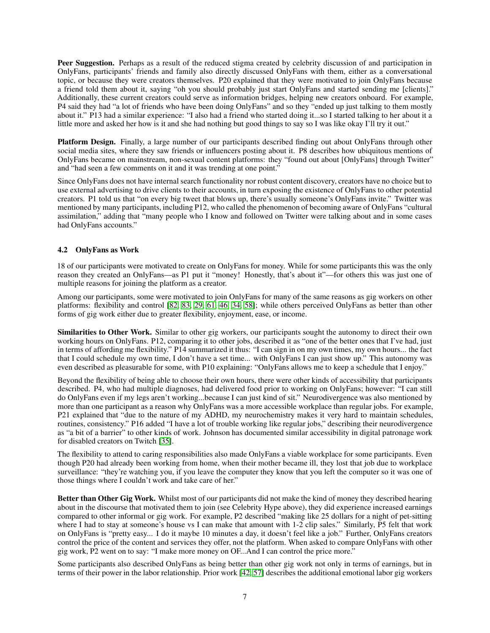Peer Suggestion. Perhaps as a result of the reduced stigma created by celebrity discussion of and participation in OnlyFans, participants' friends and family also directly discussed OnlyFans with them, either as a conversational topic, or because they were creators themselves. P20 explained that they were motivated to join OnlyFans because a friend told them about it, saying "oh you should probably just start OnlyFans and started sending me [clients]." Additionally, these current creators could serve as information bridges, helping new creators onboard. For example, P4 said they had "a lot of friends who have been doing OnlyFans" and so they "ended up just talking to them mostly about it." P13 had a similar experience: "I also had a friend who started doing it...so I started talking to her about it a little more and asked her how is it and she had nothing but good things to say so I was like okay I'll try it out."

Platform Design. Finally, a large number of our participants described finding out about OnlyFans through other social media sites, where they saw friends or influencers posting about it. P8 describes how ubiquitous mentions of OnlyFans became on mainstream, non-sexual content platforms: they "found out about [OnlyFans] through Twitter" and "had seen a few comments on it and it was trending at one point."

Since OnlyFans does not have internal search functionality nor robust content discovery, creators have no choice but to use external advertising to drive clients to their accounts, in turn exposing the existence of OnlyFans to other potential creators. P1 told us that "on every big tweet that blows up, there's usually someone's OnlyFans invite." Twitter was mentioned by many participants, including P12, who called the phenomenon of becoming aware of OnlyFans "cultural assimilation," adding that "many people who I know and followed on Twitter were talking about and in some cases had OnlyFans accounts."

#### 4.2 OnlyFans as Work

18 of our participants were motivated to create on OnlyFans for money. While for some participants this was the only reason they created an OnlyFans—as P1 put it "money! Honestly, that's about it"—for others this was just one of multiple reasons for joining the platform as a creator.

Among our participants, some were motivated to join OnlyFans for many of the same reasons as gig workers on other platforms: flexibility and control [\[82,](#page-13-8) [83,](#page-13-7) [29,](#page-11-9) [61,](#page-12-19) [46,](#page-12-11) [34,](#page-11-16) [58\]](#page-12-20); while others perceived OnlyFans as better than other forms of gig work either due to greater flexibility, enjoyment, ease, or income.

Similarities to Other Work. Similar to other gig workers, our participants sought the autonomy to direct their own working hours on OnlyFans. P12, comparing it to other jobs, described it as "one of the better ones that I've had, just in terms of affording me flexibility." P14 summarized it thus: "I can sign in on my own times, my own hours... the fact that I could schedule my own time, I don't have a set time... with OnlyFans I can just show up." This autonomy was even described as pleasurable for some, with P10 explaining: "OnlyFans allows me to keep a schedule that I enjoy."

Beyond the flexibility of being able to choose their own hours, there were other kinds of accessibility that participants described. P4, who had multiple diagnoses, had delivered food prior to working on OnlyFans; however: "I can still do OnlyFans even if my legs aren't working...because I can just kind of sit." Neurodivergence was also mentioned by more than one participant as a reason why OnlyFans was a more accessible workplace than regular jobs. For example, P21 explained that "due to the nature of my ADHD, my neurochemistry makes it very hard to maintain schedules, routines, consistency." P16 added "I have a lot of trouble working like regular jobs," describing their neurodivergence as "a bit of a barrier" to other kinds of work. Johnson has documented similar accessibility in digital patronage work for disabled creators on Twitch [\[35\]](#page-11-17).

The flexibility to attend to caring responsibilities also made OnlyFans a viable workplace for some participants. Even though P20 had already been working from home, when their mother became ill, they lost that job due to workplace surveillance: "they're watching you, if you leave the computer they know that you left the computer so it was one of those things where I couldn't work and take care of her."

Better than Other Gig Work. Whilst most of our participants did not make the kind of money they described hearing about in the discourse that motivated them to join (see Celebrity Hype above), they did experience increased earnings compared to other informal or gig work. For example, P2 described "making like 25 dollars for a night of pet-sitting where I had to stay at someone's house vs I can make that amount with 1-2 clip sales." Similarly, P5 felt that work on OnlyFans is "pretty easy... I do it maybe 10 minutes a day, it doesn't feel like a job." Further, OnlyFans creators control the price of the content and services they offer, not the platform. When asked to compare OnlyFans with other gig work, P2 went on to say: "I make more money on OF...And I can control the price more."

Some participants also described OnlyFans as being better than other gig work not only in terms of earnings, but in terms of their power in the labor relationship. Prior work [\[42,](#page-11-18) [57\]](#page-12-21) describes the additional emotional labor gig workers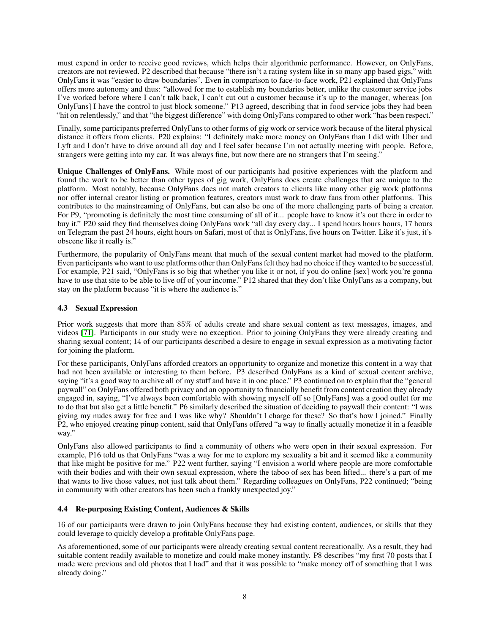must expend in order to receive good reviews, which helps their algorithmic performance. However, on OnlyFans, creators are not reviewed. P2 described that because "there isn't a rating system like in so many app based gigs," with OnlyFans it was "easier to draw boundaries". Even in comparison to face-to-face work, P21 explained that OnlyFans offers more autonomy and thus: "allowed for me to establish my boundaries better, unlike the customer service jobs I've worked before where I can't talk back, I can't cut out a customer because it's up to the manager, whereas [on OnlyFans] I have the control to just block someone." P13 agreed, describing that in food service jobs they had been "hit on relentlessly," and that "the biggest difference" with doing OnlyFans compared to other work "has been respect."

Finally, some participants preferred OnlyFans to other forms of gig work or service work because of the literal physical distance it offers from clients. P20 explains: "I definitely make more money on OnlyFans than I did with Uber and Lyft and I don't have to drive around all day and I feel safer because I'm not actually meeting with people. Before, strangers were getting into my car. It was always fine, but now there are no strangers that I'm seeing."

Unique Challenges of OnlyFans. While most of our participants had positive experiences with the platform and found the work to be better than other types of gig work, OnlyFans does create challenges that are unique to the platform. Most notably, because OnlyFans does not match creators to clients like many other gig work platforms nor offer internal creator listing or promotion features, creators must work to draw fans from other platforms. This contributes to the mainstreaming of OnlyFans, but can also be one of the more challenging parts of being a creator. For P9, "promoting is definitely the most time consuming of all of it... people have to know it's out there in order to buy it." P20 said they find themselves doing OnlyFans work "all day every day... I spend hours hours hours, 17 hours on Telegram the past 24 hours, eight hours on Safari, most of that is OnlyFans, five hours on Twitter. Like it's just, it's obscene like it really is."

Furthermore, the popularity of OnlyFans meant that much of the sexual content market had moved to the platform. Even participants who want to use platforms other than OnlyFans felt they had no choice if they wanted to be successful. For example, P21 said, "OnlyFans is so big that whether you like it or not, if you do online [sex] work you're gonna have to use that site to be able to live off of your income." P12 shared that they don't like OnlyFans as a company, but stay on the platform because "it is where the audience is."

#### 4.3 Sexual Expression

Prior work suggests that more than 85% of adults create and share sexual content as text messages, images, and videos [\[71\]](#page-13-14). Participants in our study were no exception. Prior to joining OnlyFans they were already creating and sharing sexual content; 14 of our participants described a desire to engage in sexual expression as a motivating factor for joining the platform.

For these participants, OnlyFans afforded creators an opportunity to organize and monetize this content in a way that had not been available or interesting to them before. P3 described OnlyFans as a kind of sexual content archive, saying "it's a good way to archive all of my stuff and have it in one place." P3 continued on to explain that the "general paywall" on OnlyFans offered both privacy and an opportunity to financially benefit from content creation they already engaged in, saying, "I've always been comfortable with showing myself off so [OnlyFans] was a good outlet for me to do that but also get a little benefit." P6 similarly described the situation of deciding to paywall their content: "I was giving my nudes away for free and I was like why? Shouldn't I charge for these? So that's how I joined." Finally P2, who enjoyed creating pinup content, said that OnlyFans offered "a way to finally actually monetize it in a feasible way."

OnlyFans also allowed participants to find a community of others who were open in their sexual expression. For example, P16 told us that OnlyFans "was a way for me to explore my sexuality a bit and it seemed like a community that like might be positive for me." P22 went further, saying "I envision a world where people are more comfortable with their bodies and with their own sexual expression, where the taboo of sex has been lifted... there's a part of me that wants to live those values, not just talk about them." Regarding colleagues on OnlyFans, P22 continued; "being in community with other creators has been such a frankly unexpected joy."

#### 4.4 Re-purposing Existing Content, Audiences & Skills

16 of our participants were drawn to join OnlyFans because they had existing content, audiences, or skills that they could leverage to quickly develop a profitable OnlyFans page.

As aforementioned, some of our participants were already creating sexual content recreationally. As a result, they had suitable content readily available to monetize and could make money instantly. P8 describes "my first 70 posts that I made were previous and old photos that I had" and that it was possible to "make money off of something that I was already doing."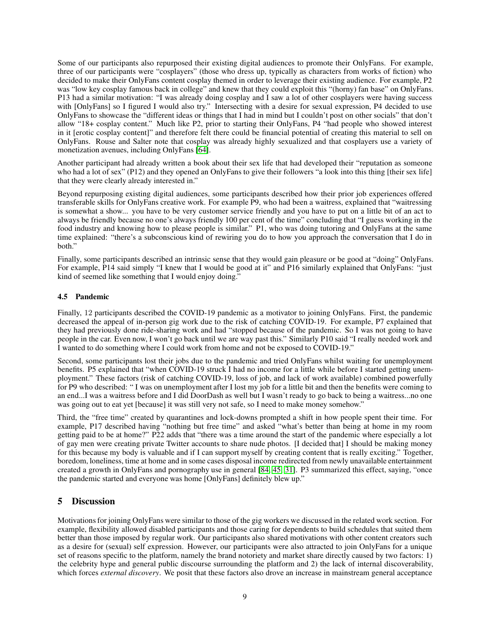Some of our participants also repurposed their existing digital audiences to promote their OnlyFans. For example, three of our participants were "cosplayers" (those who dress up, typically as characters from works of fiction) who decided to make their OnlyFans content cosplay themed in order to leverage their existing audience. For example, P2 was "low key cosplay famous back in college" and knew that they could exploit this "(horny) fan base" on OnlyFans. P13 had a similar motivation: "I was already doing cosplay and I saw a lot of other cosplayers were having success with [OnlyFans] so I figured I would also try." Intersecting with a desire for sexual expression, P4 decided to use OnlyFans to showcase the "different ideas or things that I had in mind but I couldn't post on other socials" that don't allow "18+ cosplay content." Much like P2, prior to starting their OnlyFans, P4 "had people who showed interest in it [erotic cosplay content]" and therefore felt there could be financial potential of creating this material to sell on OnlyFans. Rouse and Salter note that cosplay was already highly sexualized and that cosplayers use a variety of monetization avenues, including OnlyFans [\[64\]](#page-12-22).

Another participant had already written a book about their sex life that had developed their "reputation as someone who had a lot of sex" (P12) and they opened an OnlyFans to give their followers "a look into this thing [their sex life] that they were clearly already interested in."

Beyond repurposing existing digital audiences, some participants described how their prior job experiences offered transferable skills for OnlyFans creative work. For example P9, who had been a waitress, explained that "waitressing is somewhat a show... you have to be very customer service friendly and you have to put on a little bit of an act to always be friendly because no one's always friendly 100 per cent of the time" concluding that "I guess working in the food industry and knowing how to please people is similar." P1, who was doing tutoring and OnlyFans at the same time explained: "there's a subconscious kind of rewiring you do to how you approach the conversation that I do in both."

Finally, some participants described an intrinsic sense that they would gain pleasure or be good at "doing" OnlyFans. For example, P14 said simply "I knew that I would be good at it" and P16 similarly explained that OnlyFans: "just kind of seemed like something that I would enjoy doing."

#### 4.5 Pandemic

Finally, 12 participants described the COVID-19 pandemic as a motivator to joining OnlyFans. First, the pandemic decreased the appeal of in-person gig work due to the risk of catching COVID-19. For example, P7 explained that they had previously done ride-sharing work and had "stopped because of the pandemic. So I was not going to have people in the car. Even now, I won't go back until we are way past this." Similarly P10 said "I really needed work and I wanted to do something where I could work from home and not be exposed to COVID-19."

Second, some participants lost their jobs due to the pandemic and tried OnlyFans whilst waiting for unemployment benefits. P5 explained that "when COVID-19 struck I had no income for a little while before I started getting unemployment." These factors (risk of catching COVID-19, loss of job, and lack of work available) combined powerfully for P9 who described: " I was on unemployment after I lost my job for a little bit and then the benefits were coming to an end...I was a waitress before and I did DoorDash as well but I wasn't ready to go back to being a waitress...no one was going out to eat yet [because] it was still very not safe, so I need to make money somehow."

Third, the "free time" created by quarantines and lock-downs prompted a shift in how people spent their time. For example, P17 described having "nothing but free time" and asked "what's better than being at home in my room getting paid to be at home?" P22 adds that "there was a time around the start of the pandemic where especially a lot of gay men were creating private Twitter accounts to share nude photos. [I decided that] I should be making money for this because my body is valuable and if I can support myself by creating content that is really exciting." Together, boredom, loneliness, time at home and in some cases disposal income redirected from newly unavailable entertainment created a growth in OnlyFans and pornography use in general [\[84,](#page-13-15) [45,](#page-12-23) [31\]](#page-11-19). P3 summarized this effect, saying, "once the pandemic started and everyone was home [OnlyFans] definitely blew up."

## 5 Discussion

Motivations for joining OnlyFans were similar to those of the gig workers we discussed in the related work section. For example, flexibility allowed disabled participants and those caring for dependents to build schedules that suited them better than those imposed by regular work. Our participants also shared motivations with other content creators such as a desire for (sexual) self expression. However, our participants were also attracted to join OnlyFans for a unique set of reasons specific to the platform, namely the brand notoriety and market share directly caused by two factors: 1) the celebrity hype and general public discourse surrounding the platform and 2) the lack of internal discoverability, which forces *external discovery*. We posit that these factors also drove an increase in mainstream general acceptance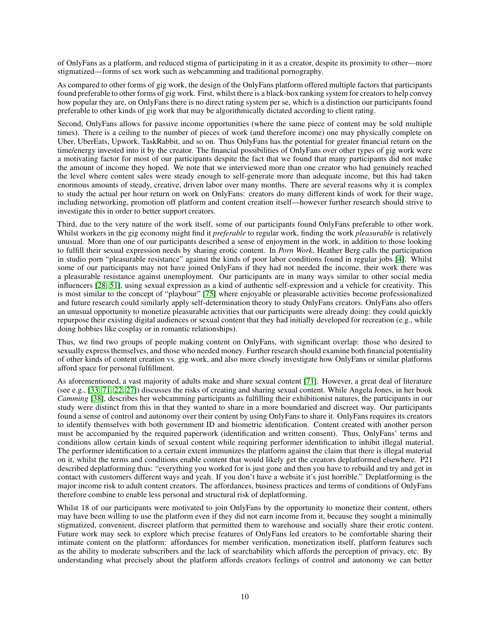of OnlyFans as a platform, and reduced stigma of participating in it as a creator, despite its proximity to other—more stigmatized—forms of sex work such as webcamming and traditional pornography.

As compared to other forms of gig work, the design of the OnlyFans platform offered multiple factors that participants found preferable to other forms of gig work. First, whilst there is a black-box ranking system for creators to help convey how popular they are, on OnlyFans there is no direct rating system per se, which is a distinction our participants found preferable to other kinds of gig work that may be algorithmically dictated according to client rating.

Second, OnlyFans allows for passive income opportunities (where the same piece of content may be sold multiple times). There is a ceiling to the number of pieces of work (and therefore income) one may physically complete on Uber, UberEats, Upwork, TaskRabbit, and so on. Thus OnlyFans has the potential for greater financial return on the time/energy invested into it by the creator. The financial possibilities of OnlyFans over other types of gig work were a motivating factor for most of our participants despite the fact that we found that many participants did not make the amount of income they hoped. We note that we interviewed more than one creator who had genuinely reached the level where content sales were steady enough to self-generate more than adequate income, but this had taken enormous amounts of steady, creative, driven labor over many months. There are several reasons why it is complex to study the actual per hour return on work on OnlyFans: creators do many different kinds of work for their wage, including networking, promotion off platform and content creation itself—however further research should strive to investigate this in order to better support creators.

Third, due to the very nature of the work itself, some of our participants found OnlyFans preferable to other work. Whilst workers in the gig economy might find it *preferable* to regular work, finding the work *pleasurable* is relatively unusual. More than one of our participants described a sense of enjoyment in the work, in addition to those looking to fulfill their sexual expression needs by sharing erotic content. In *Porn Work*, Heather Berg calls the participation in studio porn "pleasurable resistance" against the kinds of poor labor conditions found in regular jobs [\[4\]](#page-10-20). Whilst some of our participants may not have joined OnlyFans if they had not needed the income, their work there was a pleasurable resistance against unemployment. Our participants are in many ways similar to other social media influencers [\[28,](#page-11-3) [51\]](#page-12-8), using sexual expression as a kind of authentic self-expression and a vehicle for creativity. This is most similar to the concept of "playbour" [\[75\]](#page-13-3) where enjoyable or pleasurable activities become professionalized and future research could similarly apply self-determination theory to study OnlyFans creators. OnlyFans also offers an unusual opportunity to monetize pleasurable activities that our participants were already doing: they could quickly repurpose their existing digital audiences or sexual content that they had initially developed for recreation (e.g., while doing hobbies like cosplay or in romantic relationships).

Thus, we find two groups of people making content on OnlyFans, with significant overlap: those who desired to sexually express themselves, and those who needed money. Further research should examine both financial potentiality of other kinds of content creation vs. gig work, and also more closely investigate how OnlyFans or similar platforms afford space for personal fulfillment.

As aforementioned, a vast majority of adults make and share sexual content [\[71\]](#page-13-14). However, a great deal of literature (see e.g., [\[33,](#page-11-20) [71,](#page-13-14) [22,](#page-11-21) [27\]](#page-11-22)) discusses the risks of creating and sharing sexual content. While Angela Jones, in her book *Camming* [\[38\]](#page-11-13), describes her webcamming participants as fulfilling their exhibitionist natures, the participants in our study were distinct from this in that they wanted to share in a more boundaried and discreet way. Our participants found a sense of control and autonomy over their content by using OnlyFans to share it. OnlyFans requires its creators to identify themselves with both government ID and biometric identification. Content created with another person must be accompanied by the required paperwork (identification and written consent). Thus, OnlyFans' terms and conditions allow certain kinds of sexual content while requiring performer identification to inhibit illegal material. The performer identification to a certain extent immunizes the platform against the claim that there is illegal material on it, whilst the terms and conditions enable content that would likely get the creators deplatformed elsewhere. P21 described deplatforming thus: "everything you worked for is just gone and then you have to rebuild and try and get in contact with customers different ways and yeah. If you don't have a website it's just horrible." Deplatforming is the major income risk to adult content creators. The affordances, business practices and terms of conditions of OnlyFans therefore combine to enable less personal and structural risk of deplatforming.

Whilst 18 of our participants were motivated to join OnlyFans by the opportunity to monetize their content, others may have been willing to use the platform even if they did not earn income from it, because they sought a minimally stigmatized, convenient, discreet platform that permitted them to warehouse and socially share their erotic content. Future work may seek to explore which precise features of OnlyFans led creators to be comfortable sharing their intimate content on the platform: affordances for member verification, monetization itself, platform features such as the ability to moderate subscribers and the lack of searchability which affords the perception of privacy, etc. By understanding what precisely about the platform affords creators feelings of control and autonomy we can better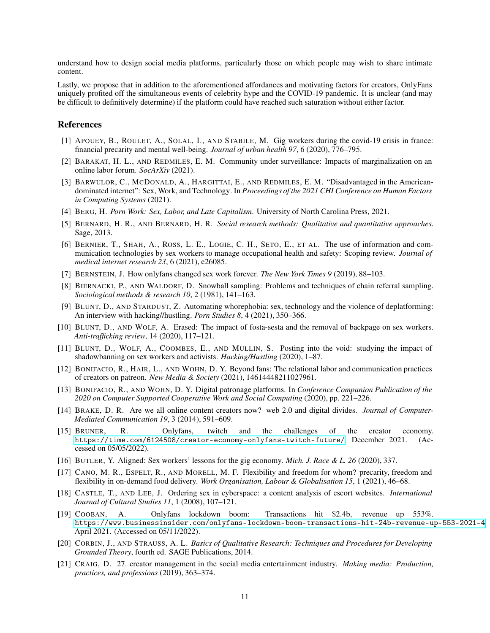understand how to design social media platforms, particularly those on which people may wish to share intimate content.

Lastly, we propose that in addition to the aforementioned affordances and motivating factors for creators, OnlyFans uniquely profited off the simultaneous events of celebrity hype and the COVID-19 pandemic. It is unclear (and may be difficult to definitively determine) if the platform could have reached such saturation without either factor.

#### <span id="page-10-8"></span>**References**

- [1] APOUEY, B., ROULET, A., SOLAL, I., AND STABILE, M. Gig workers during the covid-19 crisis in france: financial precarity and mental well-being. *Journal of urban health 97*, 6 (2020), 776–795.
- <span id="page-10-12"></span>[2] BARAKAT, H. L., AND REDMILES, E. M. Community under surveillance: Impacts of marginalization on an online labor forum. *SocArXiv* (2021).
- <span id="page-10-10"></span>[3] BARWULOR, C., MCDONALD, A., HARGITTAI, E., AND REDMILES, E. M. "Disadvantaged in the Americandominated internet": Sex, Work, and Technology. In *Proceedings of the 2021 CHI Conference on Human Factors in Computing Systems* (2021).
- <span id="page-10-20"></span><span id="page-10-17"></span>[4] BERG, H. *Porn Work: Sex, Labor, and Late Capitalism*. University of North Carolina Press, 2021.
- [5] BERNARD, H. R., AND BERNARD, H. R. *Social research methods: Qualitative and quantitative approaches*. Sage, 2013.
- <span id="page-10-11"></span>[6] BERNIER, T., SHAH, A., ROSS, L. E., LOGIE, C. H., SETO, E., ET AL. The use of information and communication technologies by sex workers to manage occupational health and safety: Scoping review. *Journal of medical internet research 23*, 6 (2021), e26085.
- <span id="page-10-16"></span><span id="page-10-1"></span>[7] BERNSTEIN, J. How onlyfans changed sex work forever. *The New York Times 9* (2019), 88–103.
- [8] BIERNACKI, P., AND WALDORF, D. Snowball sampling: Problems and techniques of chain referral sampling. *Sociological methods & research 10*, 2 (1981), 141–163.
- <span id="page-10-15"></span>[9] BLUNT, D., AND STARDUST, Z. Automating whorephobia: sex, technology and the violence of deplatforming: An interview with hacking//hustling. *Porn Studies 8*, 4 (2021), 350–366.
- <span id="page-10-13"></span>[10] BLUNT, D., AND WOLF, A. Erased: The impact of fosta-sesta and the removal of backpage on sex workers. *Anti-trafficking review*, 14 (2020), 117–121.
- <span id="page-10-14"></span>[11] BLUNT, D., WOLF, A., COOMBES, E., AND MULLIN, S. Posting into the void: studying the impact of shadowbanning on sex workers and activists. *Hacking/Hustling* (2020), 1–87.
- <span id="page-10-5"></span>[12] BONIFACIO, R., HAIR, L., AND WOHN, D. Y. Beyond fans: The relational labor and communication practices of creators on patreon. *New Media & Society* (2021), 14614448211027961.
- <span id="page-10-0"></span>[13] BONIFACIO, R., AND WOHN, D. Y. Digital patronage platforms. In *Conference Companion Publication of the 2020 on Computer Supported Cooperative Work and Social Computing* (2020), pp. 221–226.
- <span id="page-10-3"></span>[14] BRAKE, D. R. Are we all online content creators now? web 2.0 and digital divides. *Journal of Computer-Mediated Communication 19*, 3 (2014), 591–609.
- <span id="page-10-6"></span>[15] BRUNER, R. Onlyfans, twitch and the challenges of the creator economy. <https://time.com/6124508/creator-economy-onlyfans-twitch-future/>, December 2021. (Accessed on 05/05/2022).
- <span id="page-10-19"></span><span id="page-10-7"></span>[16] BUTLER, Y. Aligned: Sex workers' lessons for the gig economy. *Mich. J. Race & L. 26* (2020), 337.
- [17] CANO, M. R., ESPELT, R., AND MORELL, M. F. Flexibility and freedom for whom? precarity, freedom and flexibility in on-demand food delivery. *Work Organisation, Labour & Globalisation 15*, 1 (2021), 46–68.
- <span id="page-10-9"></span>[18] CASTLE, T., AND LEE, J. Ordering sex in cyberspace: a content analysis of escort websites. *International Journal of Cultural Studies 11*, 1 (2008), 107–121.
- <span id="page-10-2"></span>[19] COOBAN, A. Onlyfans lockdown boom: Transactions hit \$2.4b, revenue up 553%. <https://www.businessinsider.com/onlyfans-lockdown-boom-transactions-hit-24b-revenue-up-553-2021-4>, April 2021. (Accessed on 05/11/2022).
- <span id="page-10-18"></span>[20] CORBIN, J., AND STRAUSS, A. L. *Basics of Qualitative Research: Techniques and Procedures for Developing Grounded Theory*, fourth ed. SAGE Publications, 2014.
- <span id="page-10-4"></span>[21] CRAIG, D. 27. creator management in the social media entertainment industry. *Making media: Production, practices, and professions* (2019), 363–374.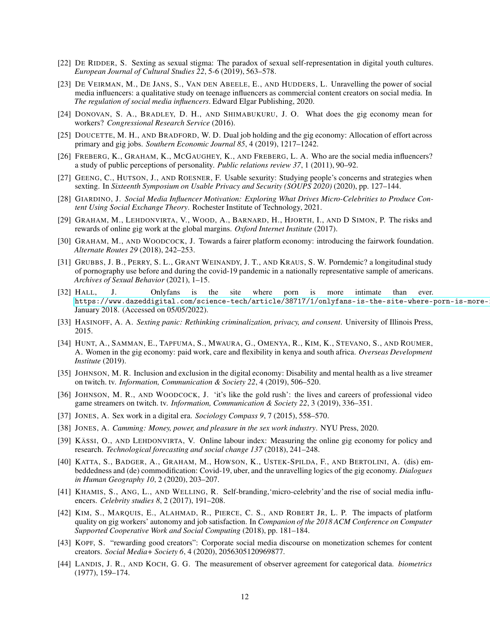- <span id="page-11-21"></span><span id="page-11-5"></span>[22] DE RIDDER, S. Sexting as sexual stigma: The paradox of sexual self-representation in digital youth cultures. *European Journal of Cultural Studies 22*, 5-6 (2019), 563–578.
- [23] DE VEIRMAN, M., DE JANS, S., VAN DEN ABEELE, E., AND HUDDERS, L. Unravelling the power of social media influencers: a qualitative study on teenage influencers as commercial content creators on social media. In *The regulation of social media influencers*. Edward Elgar Publishing, 2020.
- <span id="page-11-10"></span>[24] DONOVAN, S. A., BRADLEY, D. H., AND SHIMABUKURU, J. O. What does the gig economy mean for workers? *Congressional Research Service* (2016).
- <span id="page-11-11"></span>[25] DOUCETTE, M. H., AND BRADFORD, W. D. Dual job holding and the gig economy: Allocation of effort across primary and gig jobs. *Southern Economic Journal 85*, 4 (2019), 1217–1242.
- <span id="page-11-4"></span>[26] FREBERG, K., GRAHAM, K., MCGAUGHEY, K., AND FREBERG, L. A. Who are the social media influencers? a study of public perceptions of personality. *Public relations review 37*, 1 (2011), 90–92.
- <span id="page-11-22"></span>[27] GEENG, C., HUTSON, J., AND ROESNER, F. Usable sexurity: Studying people's concerns and strategies when sexting. In *Sixteenth Symposium on Usable Privacy and Security (SOUPS 2020)* (2020), pp. 127–144.
- <span id="page-11-3"></span>[28] GIARDINO, J. *Social Media Influencer Motivation: Exploring What Drives Micro-Celebrities to Produce Content Using Social Exchange Theory*. Rochester Institute of Technology, 2021.
- <span id="page-11-9"></span>[29] GRAHAM, M., LEHDONVIRTA, V., WOOD, A., BARNARD, H., HJORTH, I., AND D SIMON, P. The risks and rewards of online gig work at the global margins. *Oxford Internet Institute* (2017).
- <span id="page-11-7"></span>[30] GRAHAM, M., AND WOODCOCK, J. Towards a fairer platform economy: introducing the fairwork foundation. *Alternate Routes 29* (2018), 242–253.
- <span id="page-11-19"></span>[31] GRUBBS, J. B., PERRY, S. L., GRANT WEINANDY, J. T., AND KRAUS, S. W. Porndemic? a longitudinal study of pornography use before and during the covid-19 pandemic in a nationally representative sample of americans. *Archives of Sexual Behavior* (2021), 1–15.
- <span id="page-11-2"></span>[32] HALL, J. Onlyfans is the site where porn is more intimate than ever. https://www.dazeddigital.com/science-tech/article/38717/1/onlyfans-is-the-site-where-porn-is-more-January 2018. (Accessed on 05/05/2022).
- <span id="page-11-20"></span><span id="page-11-16"></span>[33] HASINOFF, A. A. *Sexting panic: Rethinking criminalization, privacy, and consent*. University of Illinois Press, 2015.
- [34] HUNT, A., SAMMAN, E., TAPFUMA, S., MWAURA, G., OMENYA, R., KIM, K., STEVANO, S., AND ROUMER, A. Women in the gig economy: paid work, care and flexibility in kenya and south africa. *Overseas Development Institute* (2019).
- <span id="page-11-17"></span>[35] JOHNSON, M. R. Inclusion and exclusion in the digital economy: Disability and mental health as a live streamer on twitch. tv. *Information, Communication & Society 22*, 4 (2019), 506–520.
- <span id="page-11-1"></span>[36] JOHNSON, M. R., AND WOODCOCK, J. 'it's like the gold rush': the lives and careers of professional video game streamers on twitch. tv. *Information, Communication & Society 22*, 3 (2019), 336–351.
- <span id="page-11-14"></span><span id="page-11-13"></span>[37] JONES, A. Sex work in a digital era. *Sociology Compass 9*, 7 (2015), 558–570.
- <span id="page-11-8"></span>[38] JONES, A. *Camming: Money, power, and pleasure in the sex work industry*. NYU Press, 2020.
- [39] KÄSSI, O., AND LEHDONVIRTA, V. Online labour index: Measuring the online gig economy for policy and research. *Technological forecasting and social change 137* (2018), 241–248.
- <span id="page-11-12"></span>[40] KATTA, S., BADGER, A., GRAHAM, M., HOWSON, K., USTEK-SPILDA, F., AND BERTOLINI, A. (dis) embeddedness and (de) commodification: Covid-19, uber, and the unravelling logics of the gig economy. *Dialogues in Human Geography 10*, 2 (2020), 203–207.
- <span id="page-11-6"></span>[41] KHAMIS, S., ANG, L., AND WELLING, R. Self-branding,'micro-celebrity'and the rise of social media influencers. *Celebrity studies 8*, 2 (2017), 191–208.
- <span id="page-11-18"></span>[42] KIM, S., MARQUIS, E., ALAHMAD, R., PIERCE, C. S., AND ROBERT JR, L. P. The impacts of platform quality on gig workers' autonomy and job satisfaction. In *Companion of the 2018 ACM Conference on Computer Supported Cooperative Work and Social Computing* (2018), pp. 181–184.
- <span id="page-11-0"></span>[43] KOPF, S. "rewarding good creators": Corporate social media discourse on monetization schemes for content creators. *Social Media+ Society 6*, 4 (2020), 2056305120969877.
- <span id="page-11-15"></span>[44] LANDIS, J. R., AND KOCH, G. G. The measurement of observer agreement for categorical data. *biometrics* (1977), 159–174.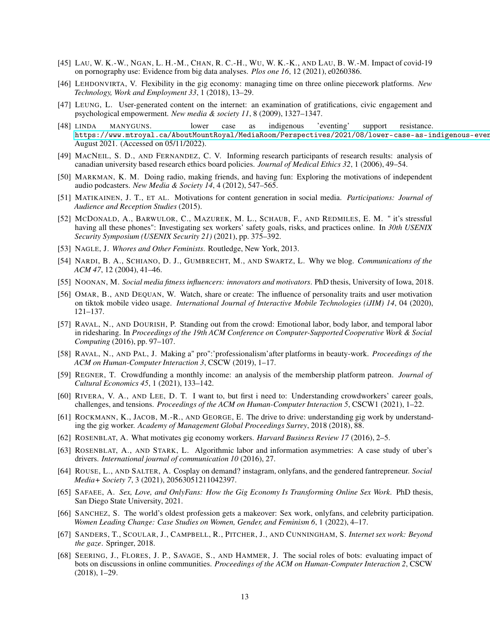- <span id="page-12-23"></span>[45] LAU, W. K.-W., NGAN, L. H.-M., CHAN, R. C.-H., WU, W. K.-K., AND LAU, B. W.-M. Impact of covid-19 on pornography use: Evidence from big data analyses. *Plos one 16*, 12 (2021), e0260386.
- <span id="page-12-11"></span>[46] LEHDONVIRTA, V. Flexibility in the gig economy: managing time on three online piecework platforms. *New Technology, Work and Employment 33*, 1 (2018), 13–29.
- <span id="page-12-6"></span>[47] LEUNG, L. User-generated content on the internet: an examination of gratifications, civic engagement and psychological empowerment. *New media & society 11*, 8 (2009), 1327–1347.
- <span id="page-12-18"></span>[48] LINDA MANYGUNS. lower case as indigenous 'eventing' support resistance. https://www.mtroyal.ca/AboutMountRoyal/MediaRoom/Perspectives/2021/08/lower-case-as-indigenous-even August 2021. (Accessed on 05/11/2022).
- <span id="page-12-17"></span>[49] MACNEIL, S. D., AND FERNANDEZ, C. V. Informing research participants of research results: analysis of canadian university based research ethics board policies. *Journal of Medical Ethics 32*, 1 (2006), 49–54.
- <span id="page-12-4"></span>[50] MARKMAN, K. M. Doing radio, making friends, and having fun: Exploring the motivations of independent audio podcasters. *New Media & Society 14*, 4 (2012), 547–565.
- <span id="page-12-8"></span>[51] MATIKAINEN, J. T., ET AL. Motivations for content generation in social media. *Participations: Journal of Audience and Reception Studies* (2015).
- <span id="page-12-16"></span>[52] MCDONALD, A., BARWULOR, C., MAZUREK, M. L., SCHAUB, F., AND REDMILES, E. M. " it's stressful having all these phones": Investigating sex workers' safety goals, risks, and practices online. In *30th USENIX Security Symposium (USENIX Security 21)* (2021), pp. 375–392.
- <span id="page-12-14"></span><span id="page-12-5"></span>[53] NAGLE, J. *Whores and Other Feminists*. Routledge, New York, 2013.
- [54] NARDI, B. A., SCHIANO, D. J., GUMBRECHT, M., AND SWARTZ, L. Why we blog. *Communications of the ACM 47*, 12 (2004), 41–46.
- <span id="page-12-7"></span><span id="page-12-3"></span>[55] NOONAN, M. *Social media fitness influencers: innovators and motivators*. PhD thesis, University of Iowa, 2018.
- [56] OMAR, B., AND DEQUAN, W. Watch, share or create: The influence of personality traits and user motivation on tiktok mobile video usage. *International Journal of Interactive Mobile Technologies (iJIM) 14*, 04 (2020), 121–137.
- <span id="page-12-21"></span>[57] RAVAL, N., AND DOURISH, P. Standing out from the crowd: Emotional labor, body labor, and temporal labor in ridesharing. In *Proceedings of the 19th ACM Conference on Computer-Supported Cooperative Work & Social Computing* (2016), pp. 97–107.
- <span id="page-12-20"></span>[58] RAVAL, N., AND PAL, J. Making a" pro":'professionalism'after platforms in beauty-work. *Proceedings of the ACM on Human-Computer Interaction 3*, CSCW (2019), 1–17.
- <span id="page-12-1"></span>[59] REGNER, T. Crowdfunding a monthly income: an analysis of the membership platform patreon. *Journal of Cultural Economics 45*, 1 (2021), 133–142.
- <span id="page-12-10"></span>[60] RIVERA, V. A., AND LEE, D. T. I want to, but first i need to: Understanding crowdworkers' career goals, challenges, and tensions. *Proceedings of the ACM on Human-Computer Interaction 5*, CSCW1 (2021), 1–22.
- <span id="page-12-19"></span>[61] ROCKMANN, K., JACOB, M.-R., AND GEORGE, E. The drive to drive: understanding gig work by understanding the gig worker. *Academy of Management Global Proceedings Surrey*, 2018 (2018), 88.
- <span id="page-12-13"></span><span id="page-12-12"></span>[62] ROSENBLAT, A. What motivates gig economy workers. *Harvard Business Review 17* (2016), 2–5.
- [63] ROSENBLAT, A., AND STARK, L. Algorithmic labor and information asymmetries: A case study of uber's drivers. *International journal of communication 10* (2016), 27.
- <span id="page-12-22"></span>[64] ROUSE, L., AND SALTER, A. Cosplay on demand? instagram, onlyfans, and the gendered fantrepreneur. *Social Media+ Society 7*, 3 (2021), 20563051211042397.
- <span id="page-12-9"></span>[65] SAFAEE, A. *Sex, Love, and OnlyFans: How the Gig Economy Is Transforming Online Sex Work*. PhD thesis, San Diego State University, 2021.
- <span id="page-12-2"></span>[66] SANCHEZ, S. The world's oldest profession gets a makeover: Sex work, onlyfans, and celebrity participation. *Women Leading Change: Case Studies on Women, Gender, and Feminism 6*, 1 (2022), 4–17.
- <span id="page-12-15"></span>[67] SANDERS, T., SCOULAR, J., CAMPBELL, R., PITCHER, J., AND CUNNINGHAM, S. *Internet sex work: Beyond the gaze*. Springer, 2018.
- <span id="page-12-0"></span>[68] SEERING, J., FLORES, J. P., SAVAGE, S., AND HAMMER, J. The social roles of bots: evaluating impact of bots on discussions in online communities. *Proceedings of the ACM on Human-Computer Interaction 2*, CSCW (2018), 1–29.